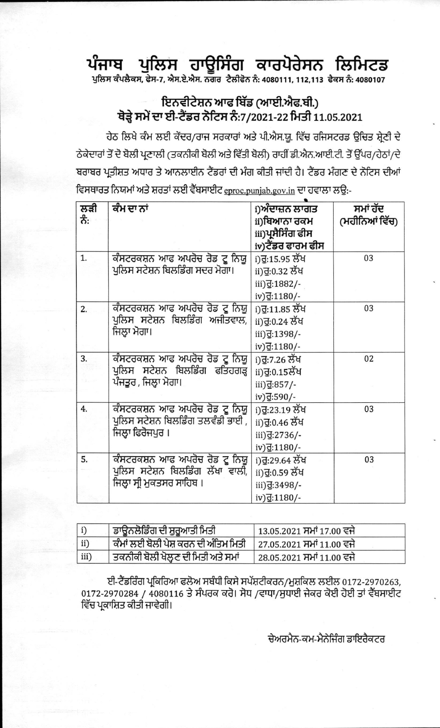## ਪੰਜਾਬ ਪੁਲਿਸ ਹਾਊਸਿੰਗ ਕਾਰਪੋਰੇਸਨ ਲਿਮਿਟਡ

# ਇਨਵੀਟੇਸ਼ਨ ਆਫ ਬਿੱਡ (ਆਈ.ਐਫ.ਬੀ.) ਥੋੜ੍ਹੇ ਸਮੇਂ ਦਾ ਈ-ਟੈਂਡਰ ਨੋਟਿਸ ਨੰ:7/2021-22 ਮਿਤੀ 11.05.2021

ਹੇਠ ਲਿਖੇ ਕੰਮ ਲਈ ਕੇਂਦਰ/ਰਾਜ ਸਰਕਾਰਾਂ ਅਤੇ ਪੀ.ਐਸ.ਯੂ. ਵਿੱਚ ਰਜਿਸਟਰਡ ਉਚਿਤ ਸ਼੍ਰੇਣੀ ਦੇ ਠੇਕੇਦਾਰਾਂ ਤੋਂ ਦੋ ਬੋਲੀ ਪ੍ਰਣਾਲੀ (ਤਕਨੀਕੀ ਬੋਲੀ ਅਤੇ ਵਿੱਤੀ ਬੋਲੀ) ਰਾਹੀਂ ਡੀ.ਐਨ.ਆਈ.ਟੀ. ਤੋਂ ਉੱਪਰ/ਹੇਠਾਂ/ਦੇ ਬਰਾਬਰ ਪ੍ਰਤੀਸ਼ਤ ਅਧਾਰ ਤੇ ਆਨਲਾਈਨ ਟੈਂਡਰਾਂ ਦੀ ਮੰਗ ਕੀਤੀ ਜਾਂਦੀ ਹੈ। ਟੈਂਡਰ ਮੰਗਣ ਦੇ ਨੋਟਿਸ ਦੀਆਂ ਵਿਸਥਾਰਤ ਨਿਯਮਾਂ ਅਤੇ ਸ਼ਰਤਾਂ ਲਈ ਵੈੱਬਸਾਈਟ eproc.punjab.gov.in ਦਾ ਹਵਾਲਾ ਲਉ:-

| ਲੜੀ | ਕੰਮ ਦਾ ਨਾਂ                                                                               | i)ਅੰਦਾਜ਼ਨ ਲਾਗਤ              | ਸਮਾਂ ਹੱਦ       |
|-----|------------------------------------------------------------------------------------------|-----------------------------|----------------|
| ਨੰ: |                                                                                          | ii)ਬਿਆਨਾ ਰਕਮ                | (ਮਹੀਨਿਆਂ ਵਿੱਚ) |
|     |                                                                                          | iii)ਪ੍ਰਸੈਸਿੰਗ ਫੀਸ           |                |
|     |                                                                                          | iv)ਟੈਂਡਰ ਫਾਰਮ ਫੀਸ           |                |
| 1.  | ਕੰਸਟਰਕਸ਼ਨ ਆਫ ਅਪਰੋਚ ਰੋਡ ਟੂ ਨਿਯੂ                                                           | i)ਰੂ:15.95 ਲੱਖ              | 03             |
|     | ਪੁਲਿਸ ਸਟੇਸ਼ਨ ਬਿਲਡਿੰਗ ਸਦਰ ਮੋਗਾ।                                                           | ii)ਰੂ:0.32 ਲੱਖ              |                |
|     |                                                                                          | iii) $\overline{d}$ :1882/- |                |
|     |                                                                                          | iv) 글:1180/-                |                |
| 2.  | ਕੰਸਟਰਕਸ਼ਨ ਆਫ ਅਪਰੋਚ ਰੋਡ ਟੂ ਨਿਯੂ<br>ਪੁਲਿਸ ਸਟੇਸ਼ਨ ਬਿਲਡਿੰਗ ਅਜੀਤਵਾਲ,<br>ਜਿਲਾ ਮੋਗਾ।            | i)ਰੂ:11.85 ਲੱਖ              | 03             |
|     |                                                                                          | ii)ਰੂ:0.24 ਲੱਖ              |                |
|     |                                                                                          | iii) <u>J</u> :1398/-       |                |
|     |                                                                                          | iv) 3:1180/-                |                |
| 3.  | ਕੰਸਟਰਕਸ਼ਨ ਆਫ ਅਪਰੋਚ ਰੋਡ ਟੂ ਨਿਯੁ                                                           | i)ਰੂ:7.26 ਲੱਖ               | 02             |
|     | ਪੁਲਿਸ ਸਟੇਸ਼ਨ ਬਿਲਡਿੰਗ ਫਤਿਹਗੜ੍ਹ<br>ਪੰਜਤੂਰ , ਜਿਲ੍ਹਾ ਮੋਗਾ।                                   | ii)ਰੂ:0.15ਲੱਖ               |                |
|     |                                                                                          | iii) $\overline{d}$ :857/-  |                |
|     |                                                                                          | iv) 3:590/-                 |                |
| 4.  | ਕੰਸਟਰਕਸ਼ਨ ਆਫ ਅਪਰੋਚ ਰੋਡ ਟੂ ਨਿਯੂ<br>ਪੁਲਿਸ ਸਟੇਸ਼ਨ ਬਿਲਡਿੰਗ ਤਲਵੰਡੀ ਭਾਈ ,<br>ਜਿਲ੍ਹਾ ਫਿਰੋਜਪੁਰ । | i)ਰੂ:23.19 ਲੱਖ              | 03             |
|     |                                                                                          | ii)ਰੂ:0.46 ਲੱਖ              |                |
|     |                                                                                          | iii) <u>d</u> :2736/-       |                |
|     |                                                                                          | iv) 글:1180/-                |                |
| 5.  | ਕੰਸਟਰਕਸ਼ਨ ਆਫ ਅਪਰੋਚ ਰੋਡ ਟੂ ਨਿਯੂ                                                           | i)ਰੂ:29.64 ਲੱਖ              | 03             |
|     | ਪੁਲਿਸ ਸਟੇਸ਼ਨ ਬਿਲਡਿੰਗ ਲੱਖਾ ਵਾਲੀ,                                                          | ii)ਰੂ:0.59 ਲੱਖ              |                |
|     | ਜਿਲ੍ਹਾ ਸ੍ਰੀ ਮੁਕਤਸਰ ਸਾਹਿਬ ।                                                               | iii) <u>d</u> :3498/-       |                |
|     |                                                                                          | iv) <del>d</del> :1180/-    |                |

|             | ਡਾਊਨਲੋਡਿੰਗ ਦੀ ਸ਼ੁਰੂਆਤੀ ਮਿਤੀ          | 13.05.2021 ਸਮਾਂ 17.00 ਵਜੇ |
|-------------|--------------------------------------|---------------------------|
| $\vert$ ii) | ਕੰਮਾਂ ਲਈ ਬੋਲੀ ਪੇਸ਼ ਕਰਨ ਦੀ ਅੰਤਿਮ ਮਿਤੀ | 27.05.2021 ਸਮਾਂ 11.00 ਵਜੇ |
| iii)        | ਤਕਨੀਕੀ ਬੋਲੀ ਖੋਲ੍ਹਣ ਦੀ ਮਿਤੀ ਅਤੇ ਸਮਾਂ  | 28.05.2021 ਸਮਾਂ 11.00 ਵਜੇ |

ਈ-ਟੈਂਡਰਿੰਗ ਪ੍ਰਕਿਰਿਆ ਫਲੋਅ ਸਬੰਧੀ ਕਿਸੇ ਸਪੱਸ਼ਟੀਕਰਨ/ਮੁਸ਼ਕਿਲ ਲਈਲ 0172-2970263, 0172-2970284 / 4080116 ਤੇ ਸੰਪਰਕ ਕਰੋ। ਸੋਧ /ਵਾਧਾ/ਸੁਧਾਈ ਜੇਕਰ ਕੋਈ ਹੋਈ ਤਾਂ ਵੈੱਬਸਾਈਟ ਵਿੱਚ ਪ੍ਰਕਾਸ਼ਿਤ ਕੀਤੀ ਜਾਵੇਗੀ।

ਚੇਅਰਮੈਨ-ਕਮ-ਮੈਨੇਜਿੰਗ ਡਾਇਰੈਕਟਰ